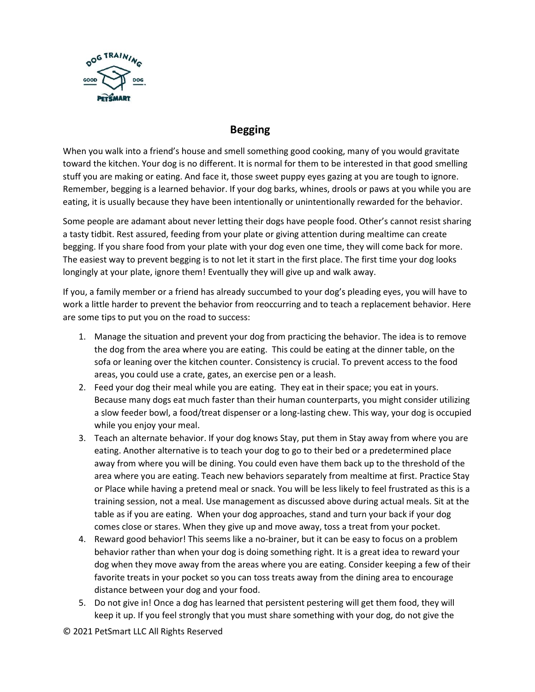

## **Begging**

When you walk into a friend's house and smell something good cooking, many of you would gravitate toward the kitchen. Your dog is no different. It is normal for them to be interested in that good smelling stuff you are making or eating. And face it, those sweet puppy eyes gazing at you are tough to ignore. Remember, begging is a learned behavior. If your dog barks, whines, drools or paws at you while you are eating, it is usually because they have been intentionally or unintentionally rewarded for the behavior.

Some people are adamant about never letting their dogs have people food. Other's cannot resist sharing a tasty tidbit. Rest assured, feeding from your plate or giving attention during mealtime can create begging. If you share food from your plate with your dog even one time, they will come back for more. The easiest way to prevent begging is to not let it start in the first place. The first time your dog looks longingly at your plate, ignore them! Eventually they will give up and walk away.

If you, a family member or a friend has already succumbed to your dog's pleading eyes, you will have to work a little harder to prevent the behavior from reoccurring and to teach a replacement behavior. Here are some tips to put you on the road to success:

- 1. Manage the situation and prevent your dog from practicing the behavior. The idea is to remove the dog from the area where you are eating. This could be eating at the dinner table, on the sofa or leaning over the kitchen counter. Consistency is crucial. To prevent access to the food areas, you could use a crate, gates, an exercise pen or a leash.
- 2. Feed your dog their meal while you are eating. They eat in their space; you eat in yours. Because many dogs eat much faster than their human counterparts, you might consider utilizing a slow feeder bowl, a food/treat dispenser or a long-lasting chew. This way, your dog is occupied while you enjoy your meal.
- 3. Teach an alternate behavior. If your dog knows Stay, put them in Stay away from where you are eating. Another alternative is to teach your dog to go to their bed or a predetermined place away from where you will be dining. You could even have them back up to the threshold of the area where you are eating. Teach new behaviors separately from mealtime at first. Practice Stay or Place while having a pretend meal or snack. You will be less likely to feel frustrated as this is a training session, not a meal. Use management as discussed above during actual meals. Sit at the table as if you are eating. When your dog approaches, stand and turn your back if your dog comes close or stares. When they give up and move away, toss a treat from your pocket.
- 4. Reward good behavior! This seems like a no-brainer, but it can be easy to focus on a problem behavior rather than when your dog is doing something right. It is a great idea to reward your dog when they move away from the areas where you are eating. Consider keeping a few of their favorite treats in your pocket so you can toss treats away from the dining area to encourage distance between your dog and your food.
- 5. Do not give in! Once a dog has learned that persistent pestering will get them food, they will keep it up. If you feel strongly that you must share something with your dog, do not give the